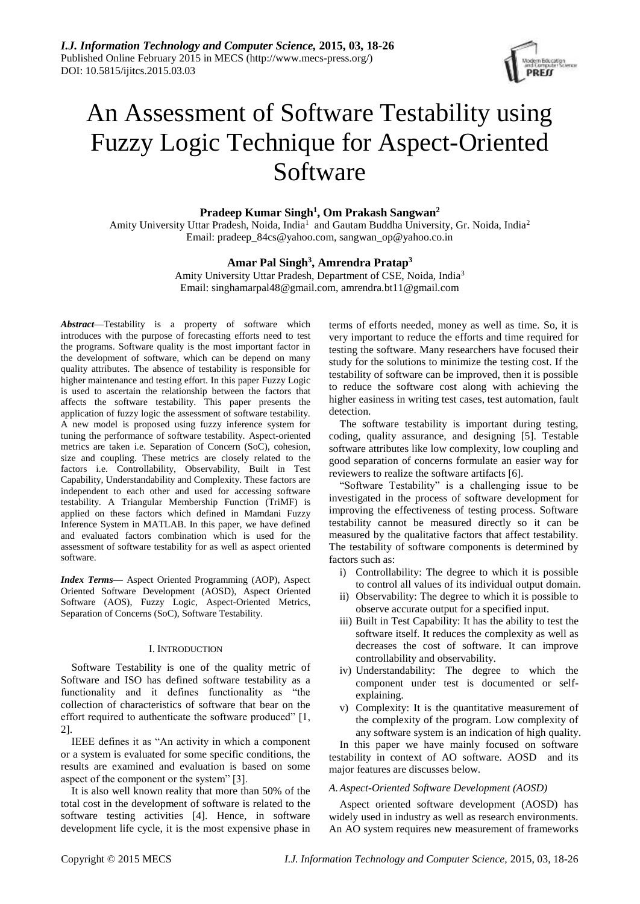

# An Assessment of Software Testability using Fuzzy Logic Technique for Aspect-Oriented Software

**Pradeep Kumar Singh<sup>1</sup> , Om Prakash Sangwan<sup>2</sup>**

Amity University Uttar Pradesh, Noida, India<sup>1</sup> and Gautam Buddha University, Gr. Noida, India<sup>2</sup> Email: pradeep\_84cs@yahoo.com, sangwan\_op@yahoo.co.in

# **Amar Pal Singh<sup>3</sup> , Amrendra Pratap<sup>3</sup>**

Amity University Uttar Pradesh, Department of CSE, Noida, India<sup>3</sup> Email: singhamarpal48@gmail.com, amrendra.bt11@gmail.com

*Abstract*—Testability is a property of software which introduces with the purpose of forecasting efforts need to test the programs. Software quality is the most important factor in the development of software, which can be depend on many quality attributes. The absence of testability is responsible for higher maintenance and testing effort. In this paper Fuzzy Logic is used to ascertain the relationship between the factors that affects the software testability. This paper presents the application of fuzzy logic the assessment of software testability. A new model is proposed using fuzzy inference system for tuning the performance of software testability. Aspect-oriented metrics are taken i.e. Separation of Concern (SoC), cohesion, size and coupling. These metrics are closely related to the factors i.e. Controllability, Observability, Built in Test Capability, Understandability and Complexity. These factors are independent to each other and used for accessing software testability. A Triangular Membership Function (TriMF) is applied on these factors which defined in Mamdani Fuzzy Inference System in MATLAB. In this paper, we have defined and evaluated factors combination which is used for the assessment of software testability for as well as aspect oriented software.

*Index Terms***—** Aspect Oriented Programming (AOP), Aspect Oriented Software Development (AOSD), Aspect Oriented Software (AOS), Fuzzy Logic, Aspect-Oriented Metrics, Separation of Concerns (SoC), Software Testability.

#### I. INTRODUCTION

Software Testability is one of the quality metric of Software and ISO has defined software testability as a functionality and it defines functionality as "the collection of characteristics of software that bear on the effort required to authenticate the software produced" [1, 2].

IEEE defines it as "An activity in which a component or a system is evaluated for some specific conditions, the results are examined and evaluation is based on some aspect of the component or the system" [3].

It is also well known reality that more than 50% of the total cost in the development of software is related to the software testing activities [4]. Hence, in software development life cycle, it is the most expensive phase in terms of efforts needed, money as well as time. So, it is very important to reduce the efforts and time required for testing the software. Many researchers have focused their study for the solutions to minimize the testing cost. If the testability of software can be improved, then it is possible to reduce the software cost along with achieving the higher easiness in writing test cases, test automation, fault detection.

The software testability is important during testing, coding, quality assurance, and designing [5]. Testable software attributes like low complexity, low coupling and good separation of concerns formulate an easier way for reviewers to realize the software artifacts [6].

"Software Testability" is a challenging issue to be investigated in the process of software development for improving the effectiveness of testing process. Software testability cannot be measured directly so it can be measured by the qualitative factors that affect testability. The testability of software components is determined by factors such as:

- i) Controllability: The degree to which it is possible to control all values of its individual output domain.
- ii) Observability: The degree to which it is possible to observe accurate output for a specified input.
- iii) Built in Test Capability: It has the ability to test the software itself. It reduces the complexity as well as decreases the cost of software. It can improve controllability and observability.
- iv) Understandability: The degree to which the component under test is documented or selfexplaining.
- v) Complexity: It is the quantitative measurement of the complexity of the program. Low complexity of any software system is an indication of high quality.
- In this paper we have mainly focused on software testability in context of AO software. AOSD and its major features are discusses below.

# *A.Aspect-Oriented Software Development (AOSD)*

Aspect oriented software development (AOSD) has widely used in industry as well as research environments. An AO system requires new measurement of frameworks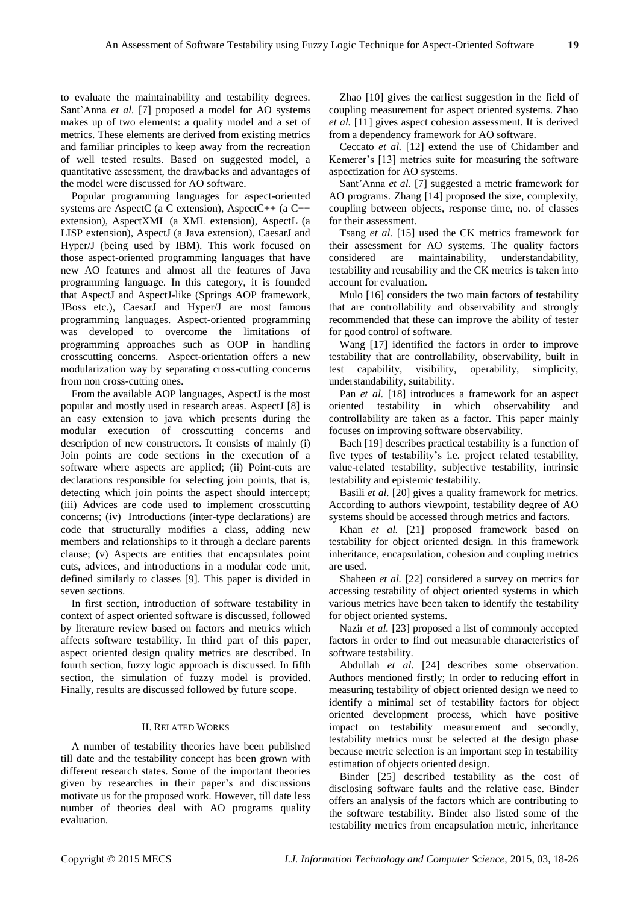to evaluate the maintainability and testability degrees. Sant'Anna *et al.* [7] proposed a model for AO systems makes up of two elements: a quality model and a set of metrics. These elements are derived from existing metrics and familiar principles to keep away from the recreation of well tested results. Based on suggested model, a quantitative assessment, the drawbacks and advantages of the model were discussed for AO software.

Popular programming languages for aspect-oriented systems are AspectC (a C extension), AspectC++ (a C++ extension), AspectXML (a XML extension), AspectL (a LISP extension), AspectJ (a Java extension), CaesarJ and Hyper/J (being used by IBM). This work focused on those aspect-oriented programming languages that have new AO features and almost all the features of Java programming language. In this category, it is founded that AspectJ and AspectJ-like (Springs AOP framework, JBoss etc.), CaesarJ and Hyper/J are most famous programming languages. Aspect-oriented programming was developed to overcome the limitations of programming approaches such as OOP in handling crosscutting concerns. Aspect-orientation offers a new modularization way by separating cross-cutting concerns from non cross-cutting ones.

From the available AOP languages, AspectJ is the most popular and mostly used in research areas. AspectJ [8] is an easy extension to java which presents during the modular execution of crosscutting concerns and description of new constructors. It consists of mainly (i) Join points are code sections in the execution of a software where aspects are applied; (ii) Point-cuts are declarations responsible for selecting join points, that is, detecting which join points the aspect should intercept; (iii) Advices are code used to implement crosscutting concerns; (iv) Introductions (inter-type declarations) are code that structurally modifies a class, adding new members and relationships to it through a declare parents clause; (v) Aspects are entities that encapsulates point cuts, advices, and introductions in a modular code unit, defined similarly to classes [9]. This paper is divided in seven sections.

In first section, introduction of software testability in context of aspect oriented software is discussed, followed by literature review based on factors and metrics which affects software testability. In third part of this paper, aspect oriented design quality metrics are described. In fourth section, fuzzy logic approach is discussed. In fifth section, the simulation of fuzzy model is provided. Finally, results are discussed followed by future scope.

#### II. RELATED WORKS

A number of testability theories have been published till date and the testability concept has been grown with different research states. Some of the important theories given by researches in their paper's and discussions motivate us for the proposed work. However, till date less number of theories deal with AO programs quality evaluation.

Zhao [10] gives the earliest suggestion in the field of coupling measurement for aspect oriented systems. Zhao *et al.* [11] gives aspect cohesion assessment. It is derived from a dependency framework for AO software.

Ceccato *et al.* [12] extend the use of Chidamber and Kemerer's [13] metrics suite for measuring the software aspectization for AO systems.

Sant'Anna *et al.* [7] suggested a metric framework for AO programs. Zhang [14] proposed the size, complexity, coupling between objects, response time, no. of classes for their assessment.

Tsang *et al.* [15] used the CK metrics framework for their assessment for AO systems. The quality factors considered are maintainability, understandability, testability and reusability and the CK metrics is taken into account for evaluation.

Mulo [16] considers the two main factors of testability that are controllability and observability and strongly recommended that these can improve the ability of tester for good control of software.

Wang [17] identified the factors in order to improve testability that are controllability, observability, built in test capability, visibility, operability, simplicity, understandability, suitability.

Pan *et al.* [18] introduces a framework for an aspect oriented testability in which observability and controllability are taken as a factor. This paper mainly focuses on improving software observability.

Bach [19] describes practical testability is a function of five types of testability's i.e. project related testability, value-related testability, subjective testability, intrinsic testability and epistemic testability.

Basili *et al.* [20] gives a quality framework for metrics. According to authors viewpoint, testability degree of AO systems should be accessed through metrics and factors.

Khan *et al.* [21] proposed framework based on testability for object oriented design. In this framework inheritance, encapsulation, cohesion and coupling metrics are used.

Shaheen *et al.* [22] considered a survey on metrics for accessing testability of object oriented systems in which various metrics have been taken to identify the testability for object oriented systems.

Nazir *et al.* [23] proposed a list of commonly accepted factors in order to find out measurable characteristics of software testability.

Abdullah *et al.* [24] describes some observation. Authors mentioned firstly; In order to reducing effort in measuring testability of object oriented design we need to identify a minimal set of testability factors for object oriented development process, which have positive impact on testability measurement and secondly, testability metrics must be selected at the design phase because metric selection is an important step in testability estimation of objects oriented design.

Binder [25] described testability as the cost of disclosing software faults and the relative ease. Binder offers an analysis of the factors which are contributing to the software testability. Binder also listed some of the testability metrics from encapsulation metric, inheritance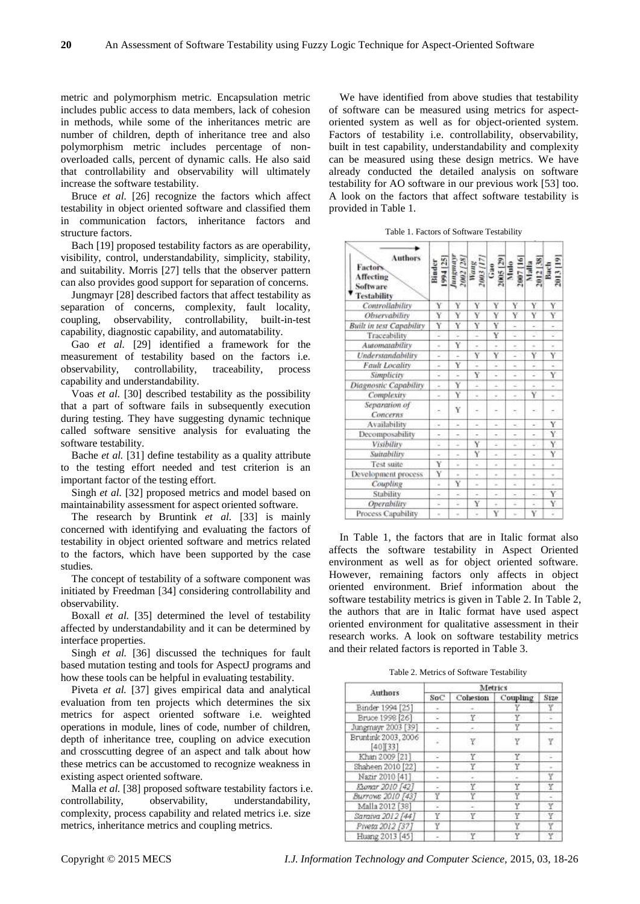metric and polymorphism metric. Encapsulation metric includes public access to data members, lack of cohesion in methods, while some of the inheritances metric are number of children, depth of inheritance tree and also polymorphism metric includes percentage of nonoverloaded calls, percent of dynamic calls. He also said that controllability and observability will ultimately increase the software testability.

Bruce *et al.* [26] recognize the factors which affect testability in object oriented software and classified them in communication factors, inheritance factors and structure factors.

Bach [19] proposed testability factors as are operability, visibility, control, understandability, simplicity, stability, and suitability. Morris [27] tells that the observer pattern can also provides good support for separation of concerns.

Jungmayr [28] described factors that affect testability as separation of concerns, complexity, fault locality, coupling, observability, controllability, built-in-test capability, diagnostic capability, and automatability.

Gao *et al.* [29] identified a framework for the measurement of testability based on the factors i.e. observability, controllability, traceability, process capability and understandability.

Voas *et al.* [30] described testability as the possibility that a part of software fails in subsequently execution during testing. They have suggesting dynamic technique called software sensitive analysis for evaluating the software testability.

Bache *et al.* [31] define testability as a quality attribute to the testing effort needed and test criterion is an important factor of the testing effort.

Singh *et al.* [32] proposed metrics and model based on maintainability assessment for aspect oriented software.

The research by Bruntink *et al.* [33] is mainly concerned with identifying and evaluating the factors of testability in object oriented software and metrics related to the factors, which have been supported by the case studies.

The concept of testability of a software component was initiated by Freedman [34] considering controllability and observability.

Boxall *et al.* [35] determined the level of testability affected by understandability and it can be determined by interface properties.

Singh *et al.* [36] discussed the techniques for fault based mutation testing and tools for AspectJ programs and how these tools can be helpful in evaluating testability.

Piveta *et al.* [37] gives empirical data and analytical evaluation from ten projects which determines the six metrics for aspect oriented software i.e. weighted operations in module, lines of code, number of children, depth of inheritance tree, coupling on advice execution and crosscutting degree of an aspect and talk about how these metrics can be accustomed to recognize weakness in existing aspect oriented software.

Malla *et al.* [38] proposed software testability factors i.e. controllability, observability, understandability, complexity, process capability and related metrics i.e. size metrics, inheritance metrics and coupling metrics.

We have identified from above studies that testability of software can be measured using metrics for aspectoriented system as well as for object-oriented system. Factors of testability i.e. controllability, observability, built in test capability, understandability and complexity can be measured using these design metrics. We have already conducted the detailed analysis on software testability for AO software in our previous work [53] too. A look on the factors that affect software testability is provided in Table 1.

| <b>Authors</b><br>Factors<br><b>Affecting</b><br>Software<br><b>Testability</b> | 1994 [25]<br>Binder      | dualinn                            | 2002 [28]<br>Wang<br>2003 [17 | 2005 [29<br>Gao | Mulo                     | 2007 [16]<br>Maila<br>2012 [38]<br>Bach<br>2013 [19] |                       |
|---------------------------------------------------------------------------------|--------------------------|------------------------------------|-------------------------------|-----------------|--------------------------|------------------------------------------------------|-----------------------|
| Controllability                                                                 | Y                        | Ÿ                                  | Y                             | Ÿ               | Y                        | Ÿ                                                    | Ý                     |
| Observability                                                                   | Ÿ                        | Y                                  | Ÿ                             | Y               | Ÿ                        | Ÿ                                                    | Ÿ                     |
| <b>Built in test Capability</b>                                                 | Y                        | Y<br>$\overline{\phantom{a}}$<br>Y | Ÿ<br>u<br>u,<br>Y<br>2<br>Ÿ   | Y               | ×                        | ×.<br>$\sim$<br>÷<br>Ÿ<br>Ξ<br>5                     | ۷<br>¥<br>Y<br>÷<br>Ÿ |
| Traccability                                                                    | ÷,                       |                                    |                               | Y               | ٠                        |                                                      |                       |
| Automatability                                                                  | $\sim$                   |                                    |                               | ×               | ÷                        |                                                      |                       |
| Understandability                                                               | $\sim$                   | u                                  |                               | Ÿ               | u                        |                                                      |                       |
| <b>Fault Locality</b>                                                           | ÷.                       | Y                                  |                               | ٥<br>υ          | ÷<br>٠                   |                                                      |                       |
| Simplicity                                                                      | ×.                       | c                                  |                               |                 |                          |                                                      |                       |
| Diagnostic Capability                                                           | ٠                        | Y                                  | 2                             | u               | 2                        |                                                      | ü                     |
| Complexity                                                                      | $\overline{\phantom{a}}$ | Ÿ                                  | ٠                             | $\overline{a}$  | $\overline{a}$           | Ϋ                                                    | ٠                     |
| Separation of<br>Concerns                                                       | ×                        | Y                                  |                               | ÷               | ×                        | ж.                                                   | ŧ.                    |
| Availability                                                                    | S.                       | ÷<br>$\qquad \qquad$<br>×          | 2                             | $\sim$          | ÷                        | ×<br>÷<br>ν                                          | Y                     |
| Decomposability                                                                 | $\overline{a}$           |                                    | $\overline{\phantom{a}}$<br>Y | $\,$<br>×       | $\sim$<br>w              |                                                      | Ÿ                     |
| Visibility                                                                      | ÷                        |                                    |                               |                 |                          |                                                      | Ÿ                     |
| Suitability                                                                     | $\overline{\phantom{a}}$ | ۰                                  | Y                             | $\overline{a}$  | $\overline{\phantom{a}}$ | ۰                                                    | Ÿ                     |
| Test suite                                                                      | Ÿ                        | ۰                                  | z                             | ×               | $\sim$                   | ×                                                    | ×                     |
| Development process                                                             | Y                        | $\sim$                             | $\sim$                        | $\alpha$        | $\sim$                   | $\sim$                                               | $\sim$                |
| Coupling                                                                        | $\overline{a}$           | Y                                  | $\overline{a}$                | $\overline{a}$  | $\overline{a}$           | ÷                                                    |                       |
| Stability                                                                       | $\sim$                   | $\overline{\phantom{a}}$           | ۰                             | $\sim$          | $\sim$                   | ×.                                                   | Y                     |
| Operability                                                                     | ÷                        | Ξ                                  | Y                             | $\pm$           | ÷                        | ä.                                                   | Y                     |
| Process Capability                                                              | $\sim$                   | $\sim$                             | u                             | Y               | $\sim$                   | Ÿ                                                    | ä                     |

In Table 1, the factors that are in Italic format also affects the software testability in Aspect Oriented environment as well as for object oriented software. However, remaining factors only affects in object oriented environment. Brief information about the software testability metrics is given in Table 2. In Table 2, the authors that are in Italic format have used aspect oriented environment for qualitative assessment in their research works. A look on software testability metrics and their related factors is reported in Table 3.

Table 2. Metrics of Software Testability

| Authors                      | Metrics |          |          |       |  |  |  |
|------------------------------|---------|----------|----------|-------|--|--|--|
|                              | SoC     | Cohesion | Coupling | Size  |  |  |  |
| Binder 1994 [25]             |         |          |          |       |  |  |  |
| Bruce 1998 [26]              | s       | Υ.       | Y.       |       |  |  |  |
| Jungmayr 2003 [39]           |         |          |          |       |  |  |  |
| Bruntink 2003, 2006<br>40133 |         | Y.       |          | Y     |  |  |  |
| Khan 2009 [21]               | s       | Y        | Y.       | in Go |  |  |  |
| Shaheen 2010 [22]            |         | Y        |          |       |  |  |  |
| Nazir 2010 [41]              |         |          |          |       |  |  |  |
| Exencer 2010 [42]            |         | Υ        |          | Y     |  |  |  |
| Burrows 2010 [43]            | Ϋ       |          |          |       |  |  |  |
| Malla 2012 [38]              |         |          | Υ        | Y     |  |  |  |
| Saraiva 2012 [44]            | Υ       | Y        |          |       |  |  |  |
| Piveta 2012 [37]             |         |          |          |       |  |  |  |
| Huang 2013 [45]              |         | Y        | ٣        |       |  |  |  |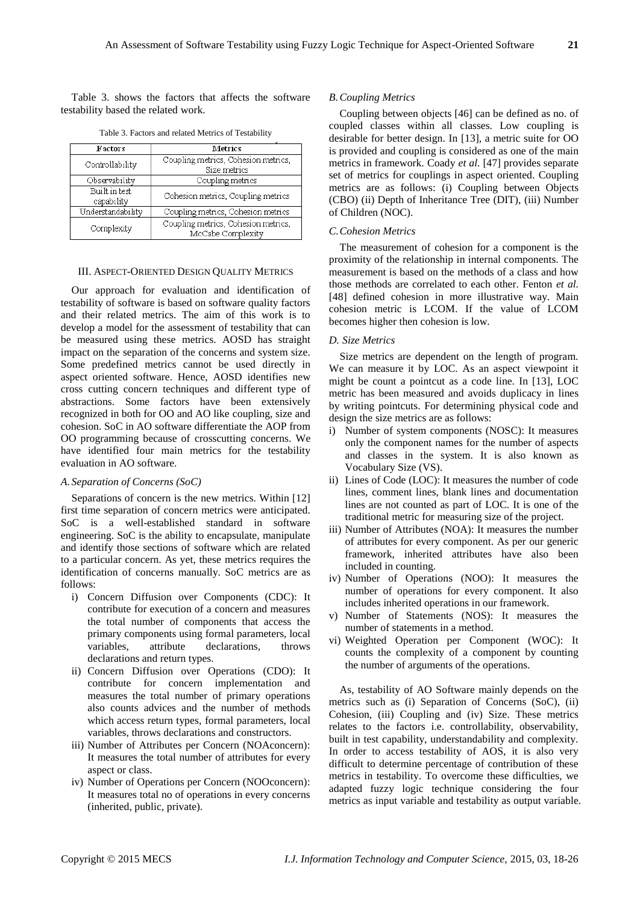Table 3. shows the factors that affects the software testability based the related work.

| <b>Factors</b>              | Metrics                                                  |  |  |  |  |
|-----------------------------|----------------------------------------------------------|--|--|--|--|
| Controllability             | Coupling metrics, Cohesion metrics,<br>Size metrics      |  |  |  |  |
| Observability               | Coupling metrics                                         |  |  |  |  |
| Built in test<br>capability | Cohesion metrics, Coupling metrics                       |  |  |  |  |
| Understandability           | Coupling metrics, Cohesion metrics                       |  |  |  |  |
| Complexity                  | Coupling metrics, Cohesion metrics,<br>McCabe Complexity |  |  |  |  |

Table 3. Factors and related Metrics of Testability

# III. ASPECT-ORIENTED DESIGN QUALITY METRICS

Our approach for evaluation and identification of testability of software is based on software quality factors and their related metrics. The aim of this work is to develop a model for the assessment of testability that can be measured using these metrics. AOSD has straight impact on the separation of the concerns and system size. Some predefined metrics cannot be used directly in aspect oriented software. Hence, AOSD identifies new cross cutting concern techniques and different type of abstractions. Some factors have been extensively recognized in both for OO and AO like coupling, size and cohesion. SoC in AO software differentiate the AOP from OO programming because of crosscutting concerns. We have identified four main metrics for the testability evaluation in AO software.

### *A. Separation of Concerns (SoC)*

Separations of concern is the new metrics. Within [12] first time separation of concern metrics were anticipated. SoC is a well-established standard in software engineering. SoC is the ability to encapsulate, manipulate and identify those sections of software which are related to a particular concern. As yet, these metrics requires the identification of concerns manually. SoC metrics are as follows:

- i) Concern Diffusion over Components (CDC): It contribute for execution of a concern and measures the total number of components that access the primary components using formal parameters, local variables, attribute declarations, throws declarations and return types.
- ii) Concern Diffusion over Operations (CDO): It contribute for concern implementation and measures the total number of primary operations also counts advices and the number of methods which access return types, formal parameters, local variables, throws declarations and constructors.
- iii) Number of Attributes per Concern (NOAconcern): It measures the total number of attributes for every aspect or class.
- iv) Number of Operations per Concern (NOOconcern): It measures total no of operations in every concerns (inherited, public, private).

# *B.Coupling Metrics*

Coupling between objects [46] can be defined as no. of coupled classes within all classes. Low coupling is desirable for better design. In [13], a metric suite for OO is provided and coupling is considered as one of the main metrics in framework. Coady *et al.* [47] provides separate set of metrics for couplings in aspect oriented. Coupling metrics are as follows: (i) Coupling between Objects (CBO) (ii) Depth of Inheritance Tree (DIT), (iii) Number of Children (NOC).

#### *C.Cohesion Metrics*

The measurement of cohesion for a component is the proximity of the relationship in internal components. The measurement is based on the methods of a class and how those methods are correlated to each other. Fenton *et al.* [48] defined cohesion in more illustrative way. Main cohesion metric is LCOM. If the value of LCOM becomes higher then cohesion is low.

#### *D. Size Metrics*

Size metrics are dependent on the length of program. We can measure it by LOC. As an aspect viewpoint it might be count a pointcut as a code line. In [13], LOC metric has been measured and avoids duplicacy in lines by writing pointcuts. For determining physical code and design the size metrics are as follows:

- i) Number of system components (NOSC): It measures only the component names for the number of aspects and classes in the system. It is also known as Vocabulary Size (VS).
- ii) Lines of Code (LOC): It measures the number of code lines, comment lines, blank lines and documentation lines are not counted as part of LOC. It is one of the traditional metric for measuring size of the project.
- iii) Number of Attributes (NOA): It measures the number of attributes for every component. As per our generic framework, inherited attributes have also been included in counting.
- iv) Number of Operations (NOO): It measures the number of operations for every component. It also includes inherited operations in our framework.
- v) Number of Statements (NOS): It measures the number of statements in a method.
- vi) Weighted Operation per Component (WOC): It counts the complexity of a component by counting the number of arguments of the operations.

As, testability of AO Software mainly depends on the metrics such as (i) Separation of Concerns (SoC), (ii) Cohesion, (iii) Coupling and (iv) Size. These metrics relates to the factors i.e. controllability, observability, built in test capability, understandability and complexity. In order to access testability of AOS, it is also very difficult to determine percentage of contribution of these metrics in testability. To overcome these difficulties, we adapted fuzzy logic technique considering the four metrics as input variable and testability as output variable.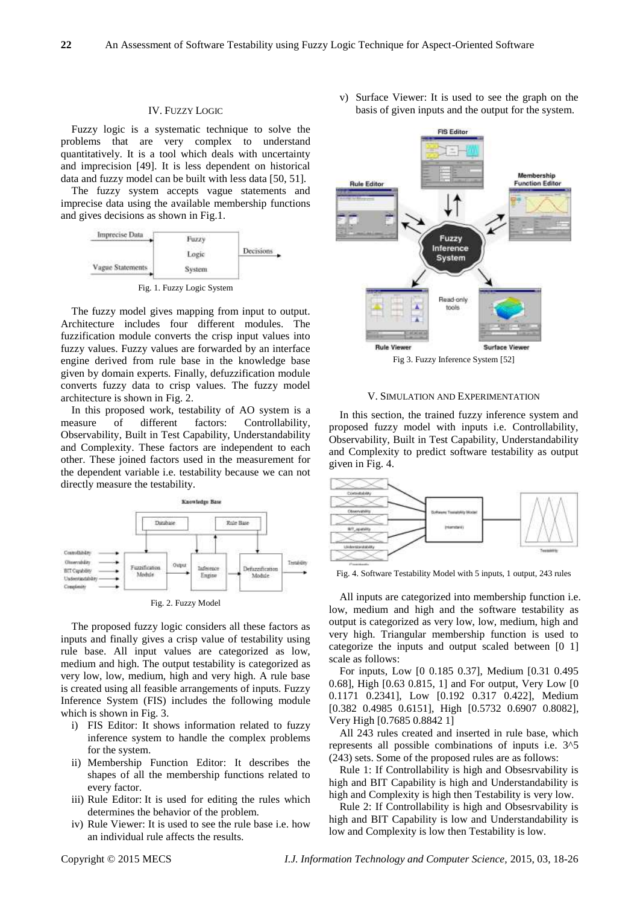# IV. FUZZY LOGIC

Fuzzy logic is a systematic technique to solve the problems that are very complex to understand quantitatively. It is a tool which deals with uncertainty and imprecision [49]. It is less dependent on historical data and fuzzy model can be built with less data [50, 51].

The fuzzy system accepts vague statements and imprecise data using the available membership functions and gives decisions as shown in Fig.1.



Fig. 1. Fuzzy Logic System

The fuzzy model gives mapping from input to output. Architecture includes four different modules. The fuzzification module converts the crisp input values into fuzzy values. Fuzzy values are forwarded by an interface engine derived from rule base in the knowledge base given by domain experts. Finally, defuzzification module converts fuzzy data to crisp values. The fuzzy model architecture is shown in Fig. 2.

In this proposed work, testability of AO system is a measure of different factors: Controllability, Observability, Built in Test Capability, Understandability and Complexity. These factors are independent to each other. These joined factors used in the measurement for the dependent variable i.e. testability because we can not directly measure the testability.



Fig. 2. Fuzzy Model

The proposed fuzzy logic considers all these factors as inputs and finally gives a crisp value of testability using rule base. All input values are categorized as low, medium and high. The output testability is categorized as very low, low, medium, high and very high. A rule base is created using all feasible arrangements of inputs. Fuzzy Inference System (FIS) includes the following module which is shown in Fig. 3.

- i) FIS Editor: It shows information related to fuzzy inference system to handle the complex problems for the system.
- ii) Membership Function Editor: It describes the shapes of all the membership functions related to every factor.
- iii) Rule Editor: It is used for editing the rules which determines the behavior of the problem.
- iv) Rule Viewer: It is used to see the rule base i.e. how an individual rule affects the results.

v) Surface Viewer: It is used to see the graph on the basis of given inputs and the output for the system.



V. SIMULATION AND EXPERIMENTATION

In this section, the trained fuzzy inference system and proposed fuzzy model with inputs i.e. Controllability, Observability, Built in Test Capability, Understandability and Complexity to predict software testability as output given in Fig. 4.



Fig. 4. Software Testability Model with 5 inputs, 1 output, 243 rules

All inputs are categorized into membership function i.e. low, medium and high and the software testability as output is categorized as very low, low, medium, high and very high. Triangular membership function is used to categorize the inputs and output scaled between [0 1] scale as follows:

For inputs, Low [0 0.185 0.37], Medium [0.31 0.495 0.68], High [0.63 0.815, 1] and For output, Very Low [0 0.1171 0.2341], Low [0.192 0.317 0.422], Medium [0.382 0.4985 0.6151], High [0.5732 0.6907 0.8082], Very High [0.7685 0.8842 1]

All 243 rules created and inserted in rule base, which represents all possible combinations of inputs i.e. 3^5 (243) sets. Some of the proposed rules are as follows:

Rule 1: If Controllability is high and Obsesrvability is high and BIT Capability is high and Understandability is high and Complexity is high then Testability is very low.

Rule 2: If Controllability is high and Obsesrvability is high and BIT Capability is low and Understandability is low and Complexity is low then Testability is low.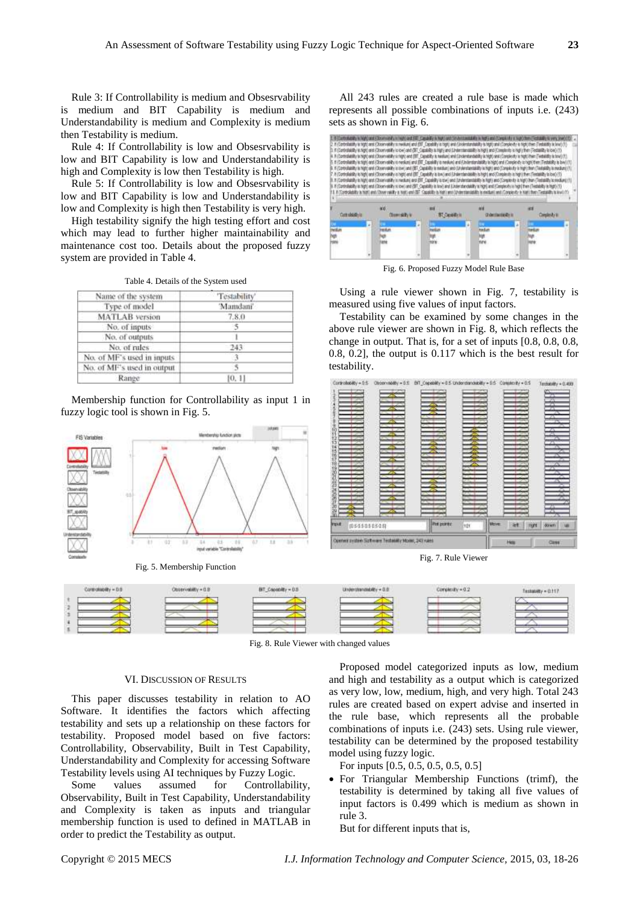Rule 3: If Controllability is medium and Obsesrvability is medium and BIT Capability is medium and Understandability is medium and Complexity is medium then Testability is medium.

Rule 4: If Controllability is low and Obsesrvability is low and BIT Capability is low and Understandability is high and Complexity is low then Testability is high.

Rule 5: If Controllability is low and Obsesrvability is low and BIT Capability is low and Understandability is low and Complexity is high then Testability is very high.

High testability signify the high testing effort and cost which may lead to further higher maintainability and maintenance cost too. Details about the proposed fuzzy system are provided in Table 4.

Table 4. Details of the System used

| Name of the system         | 'Testability' |
|----------------------------|---------------|
| Type of model              | Mandani'      |
| <b>MATLAB</b> version      | 7.8.0         |
| No. of inputs              | 15            |
| No. of outputs             |               |
| No. of rules               | 243.          |
| No. of MF's used in inputs | 3             |
| No. of MF's used in output |               |
| Range                      | [0, 1]        |

Membership function for Controllability as input 1 in fuzzy logic tool is shown in Fig. 5.



Fig. 5. Membership Function

All 243 rules are created a rule base is made which represents all possible combinations of inputs i.e. (243) sets as shown in Fig. 6.

|  |  |                         |  |  |  | Controlled May Inches (Construction), in Inchi and Fill: Canadilly in New Anti-Trade-Essedantis in Inpl a seal (Complete) of a laght them<br>2. Y-Cortoshelitty in tegtoami (Observability is medium) and (SIT) Capability is tepto and (Societative is that complete the might than (Tendatible is level (1)<br>3. Fr:Controllately in Ngh) and (Observability to low) and (BT-Capability is high) and (Understandsdilty is high) and (Complexity is high) then (Testanlity is low) (T).<br>F (Controllability is high-and (Counnability is right) and (BIT) Capability is tradiately and (Cooperated and the photostep is toget/then (Testability is bow) (1)<br>5. If (Controllatility) and (Closervalility) is medium) and (ERT) Capability is medium) and (Christmateday is high) and (Completily) is highly then (Testability is bive<br>Fill consulating in high-and (Downstally is toyo and (BF) Capability in mediant) and (Understandably is high) and (Conseiouty is high) then (Testalith, is modured if<br>7. If (Controllability in high) and (Conervatelly in high) and (BIF Capability is box) and (Understandability is high) and (Complete) in high) then (Testatility in box) (1)<br>http://www.analysingsty.andrickservabiltyisinedum) and ERT Capabiltyisiowy und Outdentendability is highly and Compared in highly terry Festantity is small and it<br># (Controllatility in high) and (Downvistility is own) and (SFT Capability is law) and (Understandability is high) and (Complexity is high) in high (Tie<br>If (Controlled/Ity is high) and (Observability is high) and (EF) Capability is high) and (Understandability is medium) and (Conglesty in high) then (Testak |  |  |  |
|--|--|-------------------------|--|--|--|-------------------------------------------------------------------------------------------------------------------------------------------------------------------------------------------------------------------------------------------------------------------------------------------------------------------------------------------------------------------------------------------------------------------------------------------------------------------------------------------------------------------------------------------------------------------------------------------------------------------------------------------------------------------------------------------------------------------------------------------------------------------------------------------------------------------------------------------------------------------------------------------------------------------------------------------------------------------------------------------------------------------------------------------------------------------------------------------------------------------------------------------------------------------------------------------------------------------------------------------------------------------------------------------------------------------------------------------------------------------------------------------------------------------------------------------------------------------------------------------------------------------------------------------------------------------------------------------------------------------------------------------------------------------------------------------------------|--|--|--|
|  |  | <b>Cheese skilly to</b> |  |  |  | (Fider Film for 4)                                                                                                                                                                                                                                                                                                                                                                                                                                                                                                                                                                                                                                                                                                                                                                                                                                                                                                                                                                                                                                                                                                                                                                                                                                                                                                                                                                                                                                                                                                                                                                                                                                                                                    |  |  |  |
|  |  | <b>u</b> dur            |  |  |  | hadun<br>Ψ<br>riane                                                                                                                                                                                                                                                                                                                                                                                                                                                                                                                                                                                                                                                                                                                                                                                                                                                                                                                                                                                                                                                                                                                                                                                                                                                                                                                                                                                                                                                                                                                                                                                                                                                                                   |  |  |  |
|  |  |                         |  |  |  |                                                                                                                                                                                                                                                                                                                                                                                                                                                                                                                                                                                                                                                                                                                                                                                                                                                                                                                                                                                                                                                                                                                                                                                                                                                                                                                                                                                                                                                                                                                                                                                                                                                                                                       |  |  |  |

Fig. 6. Proposed Fuzzy Model Rule Base

Using a rule viewer shown in Fig. 7, testability is measured using five values of input factors.

Testability can be examined by some changes in the above rule viewer are shown in Fig. 8, which reflects the change in output. That is, for a set of inputs [0.8, 0.8, 0.8, 0.8, 0.2], the output is 0.117 which is the best result for testability.



Fig. 7. Rule Viewer



Fig. 8. Rule Viewer with changed values

# VI. DISCUSSION OF RESULTS

This paper discusses testability in relation to AO Software. It identifies the factors which affecting testability and sets up a relationship on these factors for testability. Proposed model based on five factors: Controllability, Observability, Built in Test Capability, Understandability and Complexity for accessing Software Testability levels using AI techniques by Fuzzy Logic.

Some values assumed for Controllability, Observability, Built in Test Capability, Understandability and Complexity is taken as inputs and triangular membership function is used to defined in MATLAB in order to predict the Testability as output.

Proposed model categorized inputs as low, medium and high and testability as a output which is categorized as very low, low, medium, high, and very high. Total 243 rules are created based on expert advise and inserted in the rule base, which represents all the probable combinations of inputs i.e. (243) sets. Using rule viewer, testability can be determined by the proposed testability model using fuzzy logic.

For inputs [0.5, 0.5, 0.5, 0.5, 0.5]

 For Triangular Membership Functions (trimf), the testability is determined by taking all five values of input factors is 0.499 which is medium as shown in rule 3.

But for different inputs that is,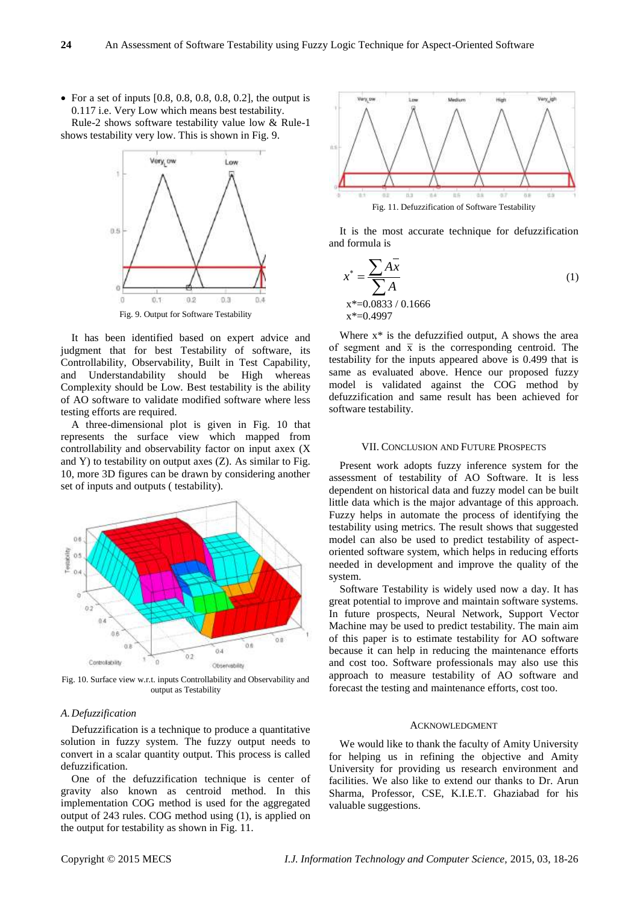• For a set of inputs  $[0.8, 0.8, 0.8, 0.8, 0.2]$ , the output is 0.117 i.e. Very Low which means best testability.

Rule-2 shows software testability value low & Rule-1 shows testability very low. This is shown in Fig. 9.



It has been identified based on expert advice and judgment that for best Testability of software, its Controllability, Observability, Built in Test Capability, and Understandability should be High whereas Complexity should be Low. Best testability is the ability of AO software to validate modified software where less

testing efforts are required. A three-dimensional plot is given in Fig. 10 that represents the surface view which mapped from controllability and observability factor on input axex (X and Y) to testability on output axes  $(Z)$ . As similar to Fig. 10, more 3D figures can be drawn by considering another set of inputs and outputs ( testability).



Fig. 10. Surface view w.r.t. inputs Controllability and Observability and output as Testability

### *A.Defuzzification*

Defuzzification is a technique to produce a quantitative solution in fuzzy system. The fuzzy output needs to convert in a scalar quantity output. This process is called defuzzification.

One of the defuzzification technique is center of gravity also known as centroid method. In this implementation COG method is used for the aggregated output of 243 rules. COG method using (1), is applied on the output for testability as shown in Fig. 11.



It is the most accurate technique for defuzzification and formula is

$$
x^* = \frac{\sum A \overline{x}}{\sum A}
$$
  
x^\* = 0.0833 / 0.1666  
x^\* = 0.4997 (1)

Where  $x^*$  is the defuzzified output, A shows the area of segment and  $\bar{x}$  is the corresponding centroid. The testability for the inputs appeared above is 0.499 that is same as evaluated above. Hence our proposed fuzzy model is validated against the COG method by defuzzification and same result has been achieved for software testability.

#### VII. CONCLUSION AND FUTURE PROSPECTS

Present work adopts fuzzy inference system for the assessment of testability of AO Software. It is less dependent on historical data and fuzzy model can be built little data which is the major advantage of this approach. Fuzzy helps in automate the process of identifying the testability using metrics. The result shows that suggested model can also be used to predict testability of aspectoriented software system, which helps in reducing efforts needed in development and improve the quality of the system.

Software Testability is widely used now a day. It has great potential to improve and maintain software systems. In future prospects, Neural Network, Support Vector Machine may be used to predict testability. The main aim of this paper is to estimate testability for AO software because it can help in reducing the maintenance efforts and cost too. Software professionals may also use this approach to measure testability of AO software and forecast the testing and maintenance efforts, cost too.

#### ACKNOWLEDGMENT

We would like to thank the faculty of Amity University for helping us in refining the objective and Amity University for providing us research environment and facilities. We also like to extend our thanks to Dr. Arun Sharma, Professor, CSE, K.I.E.T. Ghaziabad for his valuable suggestions.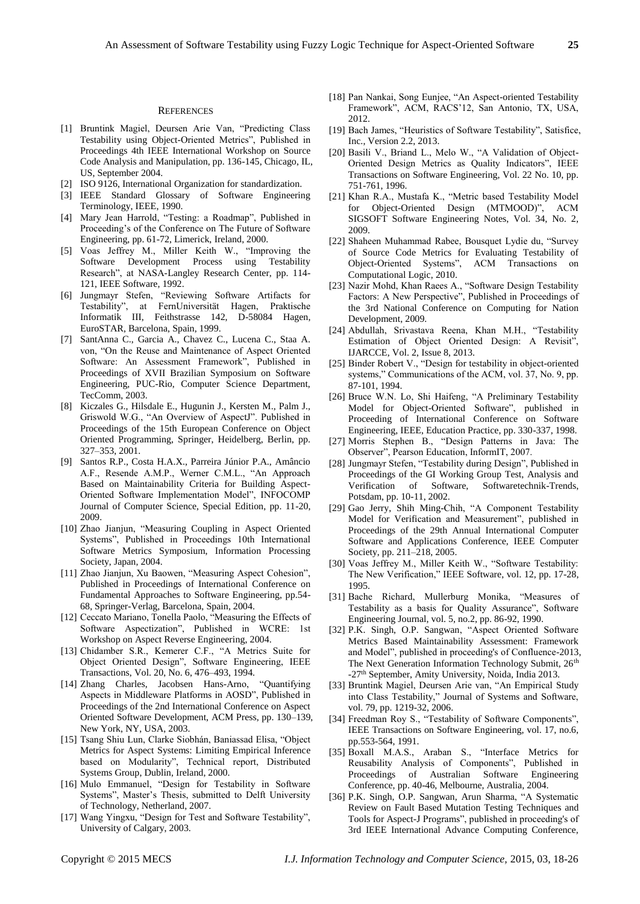#### **REFERENCES**

- [1] Bruntink Magiel, Deursen Arie Van, "Predicting Class Testability using Object-Oriented Metrics", Published in Proceedings 4th IEEE International Workshop on Source Code Analysis and Manipulation, pp. 136-145, Chicago, IL, US, September 2004.
- [2] ISO 9126, International Organization for standardization.
- [3] IEEE Standard Glossary of Software Engineering Terminology, IEEE, 1990.
- [4] Mary Jean Harrold, "Testing: a Roadmap", Published in Proceeding's of the Conference on The Future of Software Engineering, pp. 61-72, Limerick, Ireland, 2000.
- [5] Voas Jeffrey M., Miller Keith W., "Improving the Software Development Process using Testability Research", at NASA-Langley Research Center, pp. 114- 121, IEEE Software, 1992.
- [6] Jungmayr Stefen, "Reviewing Software Artifacts for Testability", at FernUniversität Hagen, Praktische Informatik III, Feithstrasse 142, D-58084 Hagen, EuroSTAR, Barcelona, Spain, 1999.
- [7] SantAnna C., Garcia A., Chavez C., Lucena C., Staa A. von, "On the Reuse and Maintenance of Aspect Oriented Software: An Assessment Framework", Published in Proceedings of XVII Brazilian Symposium on Software Engineering, PUC-Rio, Computer Science Department, TecComm, 2003.
- [8] Kiczales G., Hilsdale E., Hugunin J., Kersten M., Palm J., Griswold W.G., "An Overview of AspectJ". Published in Proceedings of the 15th European Conference on Object Oriented Programming, Springer, Heidelberg, Berlin, pp. 327–353, 2001.
- [9] Santos R.P., Costa H.A.X., Parreira Júnior P.A., Amâncio A.F., Resende A.M.P., Werner C.M.L., "An Approach Based on Maintainability Criteria for Building Aspect-Oriented Software Implementation Model", INFOCOMP Journal of Computer Science, Special Edition, pp. 11-20, 2009.
- [10] Zhao Jianjun, "Measuring Coupling in Aspect Oriented Systems", Published in Proceedings 10th International Software Metrics Symposium, Information Processing Society, Japan, 2004.
- [11] Zhao Jianjun, Xu Baowen, "Measuring Aspect Cohesion", Published in Proceedings of International Conference on Fundamental Approaches to Software Engineering, pp.54- 68, Springer-Verlag, Barcelona, Spain, 2004.
- [12] Ceccato Mariano, Tonella Paolo, "Measuring the Effects of Software Aspectization", Published in WCRE: 1st Workshop on Aspect Reverse Engineering, 2004.
- [13] Chidamber S.R., Kemerer C.F., "A Metrics Suite for Object Oriented Design", Software Engineering, IEEE Transactions, Vol. 20, No. 6, 476–493, 1994.<br>Zhang Charles, Jacobsen Hans-Arno, "Quantifying
- $[14]$  Zhang Charles, Jacobsen Hans-Arno, Aspects in Middleware Platforms in AOSD", Published in Proceedings of the 2nd International Conference on Aspect Oriented Software Development, ACM Press, pp. 130–139, New York, NY, USA, 2003.
- [15] Tsang Shiu Lun, Clarke Siobhán, Baniassad Elisa, "Object Metrics for Aspect Systems: Limiting Empirical Inference based on Modularity", Technical report, Distributed Systems Group, Dublin, Ireland, 2000.
- [16] Mulo Emmanuel, "Design for Testability in Software Systems", Master's Thesis, submitted to Delft University of Technology, Netherland, 2007.
- [17] Wang Yingxu, "Design for Test and Software Testability", University of Calgary, 2003.
- [18] Pan Nankai, Song Eunjee, "An Aspect-oriented Testability Framework", ACM, RACS'12, San Antonio, TX, USA, 2012.
- [19] Bach James, "Heuristics of Software Testability", Satisfice, Inc., Version 2.2, 2013.
- [20] Basili V., Briand L., Melo W., "A Validation of Object-Oriented Design Metrics as Quality Indicators", IEEE Transactions on Software Engineering, Vol. 22 No. 10, pp. 751-761, 1996.
- [21] Khan R.A., Mustafa K., "Metric based Testability Model for Object-Oriented Design (MTMOOD)", ACM SIGSOFT Software Engineering Notes, Vol. 34, No. 2, 2009.
- [22] Shaheen Muhammad Rabee, Bousquet Lydie du, "Survey of Source Code Metrics for Evaluating Testability of Object-Oriented Systems", ACM Transactions on Computational Logic, 2010.
- [23] Nazir Mohd, Khan Raees A., "Software Design Testability Factors: A New Perspective", Published in Proceedings of the 3rd National Conference on Computing for Nation Development, 2009.
- [24] Abdullah, Srivastava Reena, Khan M.H., "Testability Estimation of Object Oriented Design: A Revisit", IJARCCE, Vol. 2, Issue 8, 2013.
- [25] Binder Robert V., "Design for testability in object-oriented systems," Communications of the ACM, vol. 37, No. 9, pp. 87-101, 1994.
- [26] Bruce W.N. Lo, Shi Haifeng, "A Preliminary Testability Model for Object-Oriented Software", published in Proceeding of International Conference on Software Engineering, IEEE, Education Practice, pp. 330-337, 1998.
- [27] Morris Stephen B., "Design Patterns in Java: The Observer", Pearson Education, InformIT, 2007.
- [28] Jungmayr Stefen, "Testability during Design", Published in Proceedings of the GI Working Group Test, Analysis and Verification of Software. Softwaretechnik-Trends. Verification of Software, Potsdam, pp. 10-11, 2002.
- [29] Gao Jerry, Shih Ming-Chih, "A Component Testability Model for Verification and Measurement", published in Proceedings of the 29th Annual International Computer Software and Applications Conference, IEEE Computer Society, pp. 211–218, 2005.
- [30] Voas Jeffrey M., Miller Keith W., "Software Testability: The New Verification," IEEE Software, vol. 12, pp. 17-28, 1995.
- [31] Bache Richard, Mullerburg Monika, "Measures of Testability as a basis for Quality Assurance", Software Engineering Journal, vol. 5, no.2, pp. 86-92, 1990.
- [32] P.K. Singh, O.P. Sangwan, "Aspect Oriented Software Metrics Based Maintainability Assessment: Framework and Model", published in proceeding's of Confluence-2013, The Next Generation Information Technology Submit, 26<sup>th</sup> -27<sup>th</sup> September, Amity University, Noida, India 2013.
- [33] Bruntink Magiel, Deursen Arie van, "An Empirical Study into Class Testability," Journal of Systems and Software, vol. 79, pp. 1219-32, 2006.
- [34] Freedman Roy S., "Testability of Software Components", IEEE Transactions on Software Engineering, vol. 17, no.6, pp.553-564, 1991.
- [35] Boxall M.A.S., Araban S., "Interface Metrics for Reusability Analysis of Components", Published in Proceedings of Australian Software Engineering Conference, pp. 40-46, Melbourne, Australia, 2004.
- [36] P.K. Singh, O.P. Sangwan, Arun Sharma, "A Systematic Review on Fault Based Mutation Testing Techniques and Tools for Aspect-J Programs", published in proceeding's of 3rd IEEE International Advance Computing Conference,